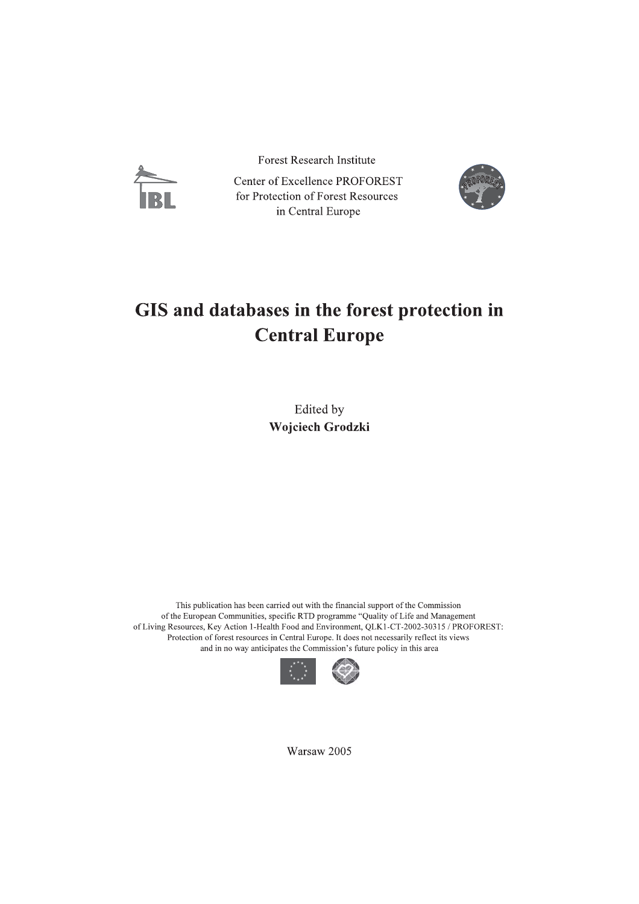

**Forest Research Institute** 

Center of Excellence PROFOREST for Protection of Forest Resources in Central Europe



## GIS and databases in the forest protection in **Central Europe**

Edited by Wojciech Grodzki

This publication has been carried out with the financial support of the Commission of the European Communities, specific RTD programme "Quality of Life and Management of Living Resources, Key Action 1-Health Food and Environment, QLK1-CT-2002-30315 / PROFOREST: Protection of forest resources in Central Europe. It does not necessarily reflect its views and in no way anticipates the Commission's future policy in this area



Warsaw 2005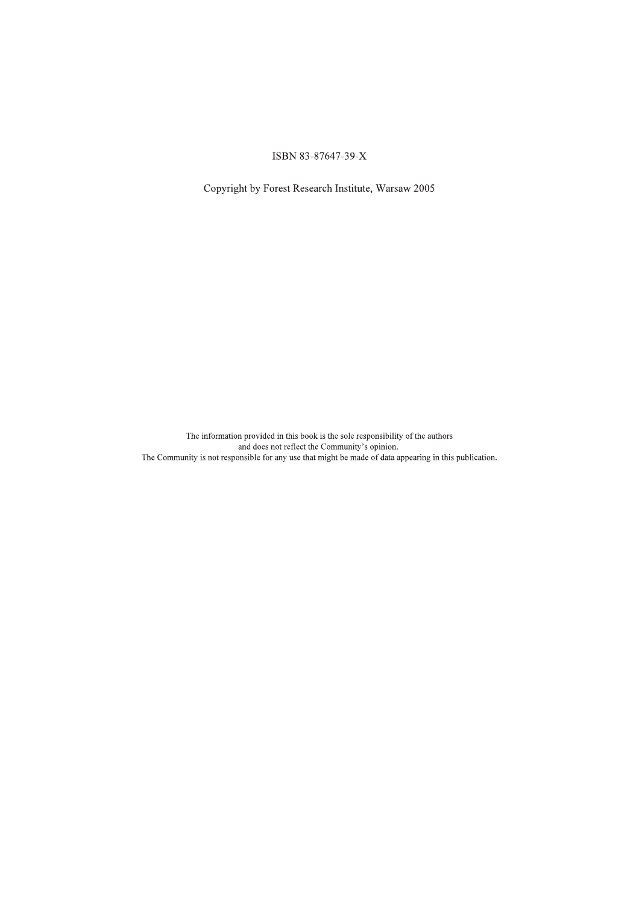## ISBN 83-87647-39-X

Copyright by Forest Research Institute, Warsaw 2005

The information provided in this book is the sole responsibility of the authors<br>and does not reflect the Community's opinion.<br>The Community is not responsible for any use that might be made of data appearing in this public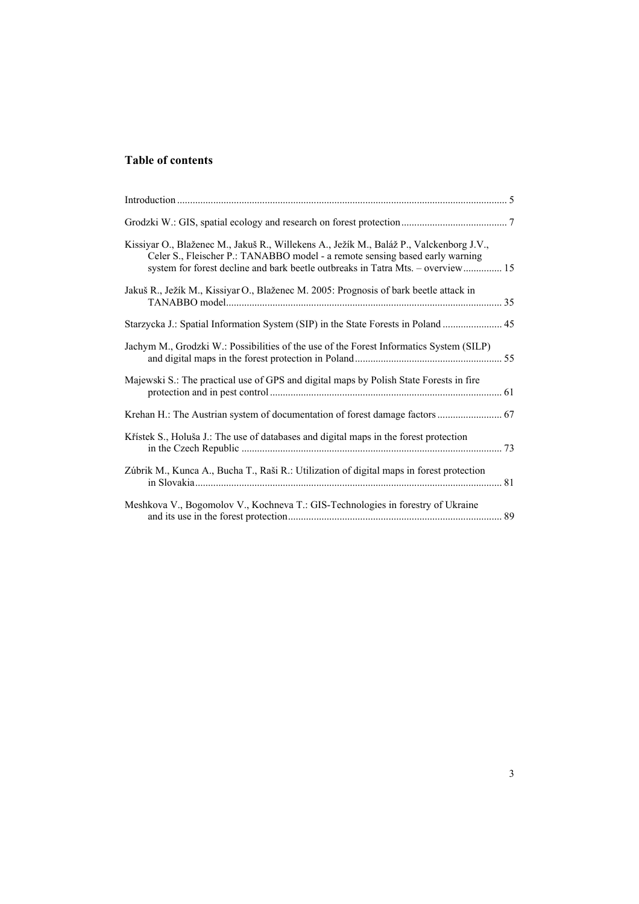## **Table of contents**

| Kissiyar O., Blaženec M., Jakuš R., Willekens A., Ježík M., Baláž P., Valckenborg J.V.,<br>Celer S., Fleischer P.: TANABBO model - a remote sensing based early warning<br>system for forest decline and bark beetle outbreaks in Tatra Mts. - overview 15 |  |
|------------------------------------------------------------------------------------------------------------------------------------------------------------------------------------------------------------------------------------------------------------|--|
| Jakuš R., Ježík M., Kissiyar O., Blaženec M. 2005: Prognosis of bark beetle attack in                                                                                                                                                                      |  |
| Starzycka J.: Spatial Information System (SIP) in the State Forests in Poland  45                                                                                                                                                                          |  |
| Jachym M., Grodzki W.: Possibilities of the use of the Forest Informatics System (SILP)                                                                                                                                                                    |  |
| Majewski S.: The practical use of GPS and digital maps by Polish State Forests in fire                                                                                                                                                                     |  |
| Krehan H.: The Austrian system of documentation of forest damage factors  67                                                                                                                                                                               |  |
| Křístek S., Holuša J.: The use of databases and digital maps in the forest protection                                                                                                                                                                      |  |
| Zúbrik M., Kunca A., Bucha T., Raši R.: Utilization of digital maps in forest protection                                                                                                                                                                   |  |
| Meshkova V., Bogomolov V., Kochneva T.: GIS-Technologies in forestry of Ukraine                                                                                                                                                                            |  |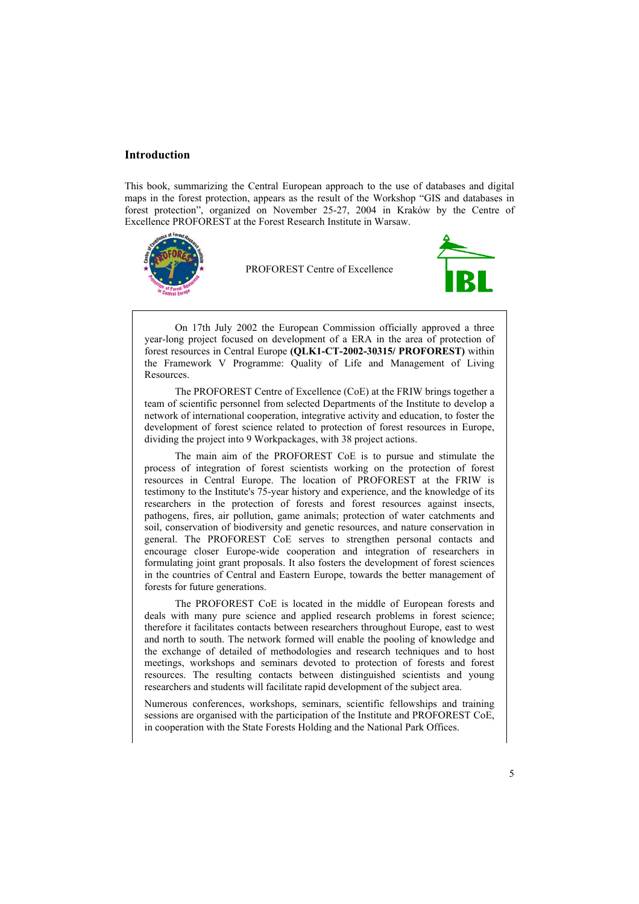## **Introduction**

This book, summarizing the Central European approach to the use of databases and digital maps in the forest protection, appears as the result of the Workshop "GIS and databases in forest protection", organized on November 25-27, 2004 in Kraków by the Centre of Excellence PROFOREST at the Forest Research Institute in Warsaw.



PROFOREST Centre of Excellence



On 17th July 2002 the European Commission officially approved a three year-long project focused on development of a ERA in the area of protection of forest resources in Central Europe **(QLK1-CT-2002-30315/ PROFOREST)** within the Framework V Programme: Quality of Life and Management of Living Resources.

The PROFOREST Centre of Excellence (CoE) at the FRIW brings together a team of scientific personnel from selected Departments of the Institute to develop a network of international cooperation, integrative activity and education, to foster the development of forest science related to protection of forest resources in Europe, dividing the project into 9 Workpackages, with 38 project actions.

The main aim of the PROFOREST CoE is to pursue and stimulate the process of integration of forest scientists working on the protection of forest resources in Central Europe. The location of PROFOREST at the FRIW is testimony to the Institute's 75-year history and experience, and the knowledge of its researchers in the protection of forests and forest resources against insects, pathogens, fires, air pollution, game animals; protection of water catchments and soil, conservation of biodiversity and genetic resources, and nature conservation in general. The PROFOREST CoE serves to strengthen personal contacts and encourage closer Europe-wide cooperation and integration of researchers in formulating joint grant proposals. It also fosters the development of forest sciences in the countries of Central and Eastern Europe, towards the better management of forests for future generations.

The PROFOREST CoE is located in the middle of European forests and deals with many pure science and applied research problems in forest science; therefore it facilitates contacts between researchers throughout Europe, east to west and north to south. The network formed will enable the pooling of knowledge and the exchange of detailed of methodologies and research techniques and to host meetings, workshops and seminars devoted to protection of forests and forest resources. The resulting contacts between distinguished scientists and young researchers and students will facilitate rapid development of the subject area.

Numerous conferences, workshops, seminars, scientific fellowships and training sessions are organised with the participation of the Institute and PROFOREST CoE, in cooperation with the State Forests Holding and the National Park Offices.